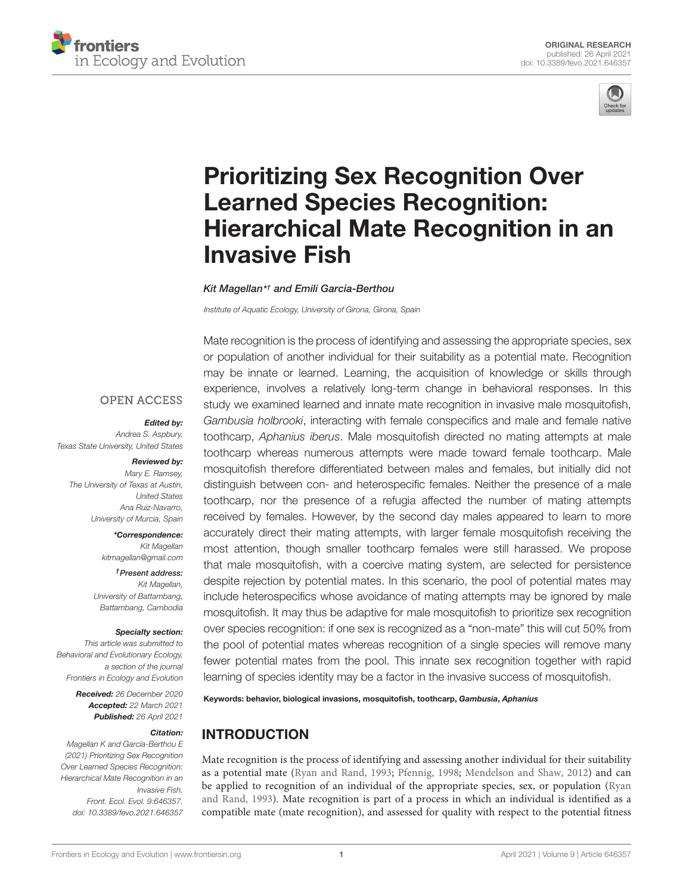



# Prioritizing Sex Recognition Over Learned Species Recognition: [Hierarchical Mate Recognition in an](https://www.frontiersin.org/articles/10.3389/fevo.2021.646357/full) Invasive Fish

Kit Magellan\* † and Emili García-Berthou

Institute of Aquatic Ecology, University of Girona, Girona, Spain

## **OPEN ACCESS**

#### Edited by:

Andrea S. Aspbury, Texas State University, United States

### Reviewed by:

Mary E. Ramsey, The University of Texas at Austin, United States Ana Ruiz-Navarro, University of Murcia, Spain

> \*Correspondence: Kit Magellan kitmagellan@gmail.com

†Present address: Kit Magellan University of Battambang, Battambang, Cambodia

## Specialty section:

This article was submitted to Behavioral and Evolutionary Ecology, a section of the journal Frontiers in Ecology and Evolution

> Received: 26 December 2020 Accepted: 22 March 2021 Published: 26 April 2021

#### Citation:

Magellan K and García-Berthou E (2021) Prioritizing Sex Recognition Over Learned Species Recognition: Hierarchical Mate Recognition in an Invasive Fish. Front. Ecol. Evol. 9:646357. doi: [10.3389/fevo.2021.646357](https://doi.org/10.3389/fevo.2021.646357)

Mate recognition is the process of identifying and assessing the appropriate species, sex or population of another individual for their suitability as a potential mate. Recognition may be innate or learned. Learning, the acquisition of knowledge or skills through experience, involves a relatively long-term change in behavioral responses. In this study we examined learned and innate mate recognition in invasive male mosquitofish, Gambusia holbrooki, interacting with female conspecifics and male and female native toothcarp, Aphanius iberus. Male mosquitofish directed no mating attempts at male toothcarp whereas numerous attempts were made toward female toothcarp. Male mosquitofish therefore differentiated between males and females, but initially did not distinguish between con- and heterospecific females. Neither the presence of a male toothcarp, nor the presence of a refugia affected the number of mating attempts received by females. However, by the second day males appeared to learn to more accurately direct their mating attempts, with larger female mosquitofish receiving the most attention, though smaller toothcarp females were still harassed. We propose that male mosquitofish, with a coercive mating system, are selected for persistence despite rejection by potential mates. In this scenario, the pool of potential mates may include heterospecifics whose avoidance of mating attempts may be ignored by male mosquitofish. It may thus be adaptive for male mosquitofish to prioritize sex recognition over species recognition: if one sex is recognized as a "non-mate" this will cut 50% from the pool of potential mates whereas recognition of a single species will remove many fewer potential mates from the pool. This innate sex recognition together with rapid learning of species identity may be a factor in the invasive success of mosquitofish.

Keywords: behavior, biological invasions, mosquitofish, toothcarp, Gambusia, Aphanius

# INTRODUCTION

Mate recognition is the process of identifying and assessing another individual for their suitability as a potential mate [\(Ryan and Rand,](#page-7-0) [1993;](#page-7-0) [Pfennig,](#page-7-1) [1998;](#page-7-1) [Mendelson and Shaw,](#page-7-2) [2012\)](#page-7-2) and can be applied to recognition of an individual of the appropriate species, sex, or population [\(Ryan](#page-7-0) [and Rand,](#page-7-0) [1993\)](#page-7-0). Mate recognition is part of a process in which an individual is identified as a compatible mate (mate recognition), and assessed for quality with respect to the potential fitness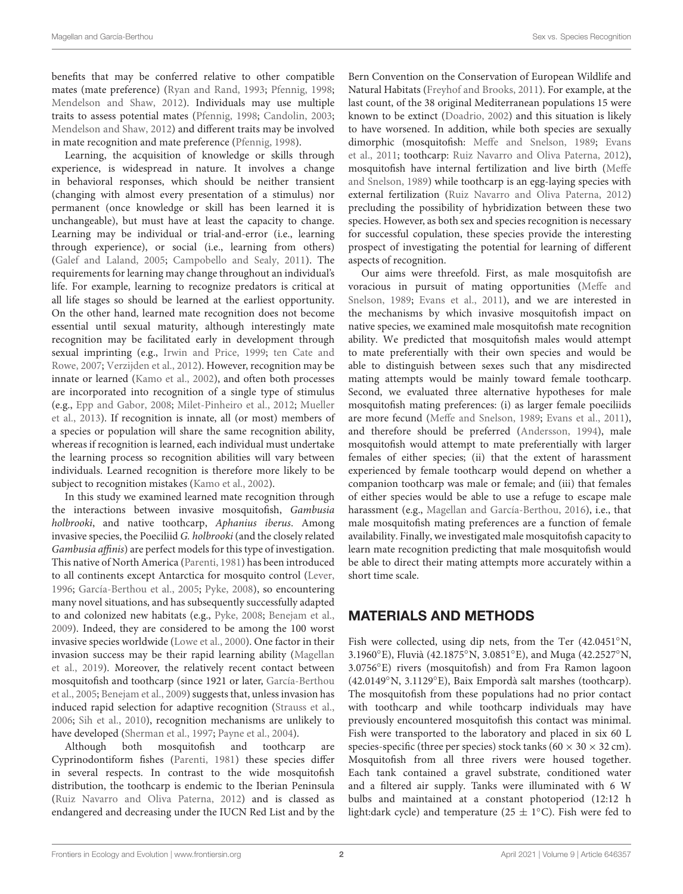benefits that may be conferred relative to other compatible mates (mate preference) [\(Ryan and Rand,](#page-7-0) [1993;](#page-7-0) [Pfennig,](#page-7-1) [1998;](#page-7-1) [Mendelson and Shaw,](#page-7-2) [2012\)](#page-7-2). Individuals may use multiple traits to assess potential mates [\(Pfennig,](#page-7-1) [1998;](#page-7-1) [Candolin,](#page-6-0) [2003;](#page-6-0) [Mendelson and Shaw,](#page-7-2) [2012\)](#page-7-2) and different traits may be involved in mate recognition and mate preference [\(Pfennig,](#page-7-1) [1998\)](#page-7-1).

Learning, the acquisition of knowledge or skills through experience, is widespread in nature. It involves a change in behavioral responses, which should be neither transient (changing with almost every presentation of a stimulus) nor permanent (once knowledge or skill has been learned it is unchangeable), but must have at least the capacity to change. Learning may be individual or trial-and-error (i.e., learning through experience), or social (i.e., learning from others) [\(Galef and Laland,](#page-6-1) [2005;](#page-6-1) [Campobello and Sealy,](#page-6-2) [2011\)](#page-6-2). The requirements for learning may change throughout an individual's life. For example, learning to recognize predators is critical at all life stages so should be learned at the earliest opportunity. On the other hand, learned mate recognition does not become essential until sexual maturity, although interestingly mate recognition may be facilitated early in development through sexual imprinting (e.g., [Irwin and Price,](#page-7-3) [1999;](#page-7-3) [ten Cate and](#page-7-4) [Rowe,](#page-7-4) [2007;](#page-7-4) [Verzijden et al.,](#page-7-5) [2012\)](#page-7-5). However, recognition may be innate or learned [\(Kamo et al.,](#page-7-6) [2002\)](#page-7-6), and often both processes are incorporated into recognition of a single type of stimulus (e.g., [Epp and Gabor,](#page-6-3) [2008;](#page-6-3) [Milet-Pinheiro et al.,](#page-7-7) [2012;](#page-7-7) [Mueller](#page-7-8) [et al.,](#page-7-8) [2013\)](#page-7-8). If recognition is innate, all (or most) members of a species or population will share the same recognition ability, whereas if recognition is learned, each individual must undertake the learning process so recognition abilities will vary between individuals. Learned recognition is therefore more likely to be subject to recognition mistakes [\(Kamo et al.,](#page-7-6) [2002\)](#page-7-6).

In this study we examined learned mate recognition through the interactions between invasive mosquitofish, Gambusia holbrooki, and native toothcarp, Aphanius iberus. Among invasive species, the Poeciliid G. holbrooki (and the closely related Gambusia affinis) are perfect models for this type of investigation. This native of North America [\(Parenti,](#page-7-9) [1981\)](#page-7-9) has been introduced to all continents except Antarctica for mosquito control [\(Lever,](#page-7-10) [1996;](#page-7-10) [García-Berthou et al.,](#page-6-4) [2005;](#page-6-4) [Pyke,](#page-7-11) [2008\)](#page-7-11), so encountering many novel situations, and has subsequently successfully adapted to and colonized new habitats (e.g., [Pyke,](#page-7-11) [2008;](#page-7-11) [Benejam et al.,](#page-6-5) [2009\)](#page-6-5). Indeed, they are considered to be among the 100 worst invasive species worldwide [\(Lowe et al.,](#page-7-12) [2000\)](#page-7-12). One factor in their invasion success may be their rapid learning ability [\(Magellan](#page-7-13) [et al.,](#page-7-13) [2019\)](#page-7-13). Moreover, the relatively recent contact between mosquitofish and toothcarp (since 1921 or later, [García-Berthou](#page-6-4) [et al.,](#page-6-4) [2005;](#page-6-4) [Benejam et al.,](#page-6-5) [2009\)](#page-6-5) suggests that, unless invasion has induced rapid selection for adaptive recognition [\(Strauss et al.,](#page-7-14) [2006;](#page-7-14) [Sih et al.,](#page-7-15) [2010\)](#page-7-15), recognition mechanisms are unlikely to have developed [\(Sherman et al.,](#page-7-16) [1997;](#page-7-16) [Payne et al.,](#page-7-17) [2004\)](#page-7-17).

Although both mosquitofish and toothcarp are Cyprinodontiform fishes [\(Parenti,](#page-7-9) [1981\)](#page-7-9) these species differ in several respects. In contrast to the wide mosquitofish distribution, the toothcarp is endemic to the Iberian Peninsula [\(Ruiz Navarro and Oliva Paterna,](#page-7-18) [2012\)](#page-7-18) and is classed as endangered and decreasing under the IUCN Red List and by the Bern Convention on the Conservation of European Wildlife and Natural Habitats [\(Freyhof and Brooks,](#page-6-6) [2011\)](#page-6-6). For example, at the last count, of the 38 original Mediterranean populations 15 were known to be extinct [\(Doadrio,](#page-6-7) [2002\)](#page-6-7) and this situation is likely to have worsened. In addition, while both species are sexually dimorphic (mosquitofish: [Meffe and Snelson,](#page-7-19) [1989;](#page-7-19) [Evans](#page-6-8) [et al.,](#page-6-8) [2011;](#page-6-8) toothcarp: [Ruiz Navarro and Oliva Paterna,](#page-7-18) [2012\)](#page-7-18), mosquitofish have internal fertilization and live birth [\(Meffe](#page-7-19) [and Snelson,](#page-7-19) [1989\)](#page-7-19) while toothcarp is an egg-laying species with external fertilization [\(Ruiz Navarro and Oliva Paterna,](#page-7-18) [2012\)](#page-7-18) precluding the possibility of hybridization between these two species. However, as both sex and species recognition is necessary for successful copulation, these species provide the interesting prospect of investigating the potential for learning of different aspects of recognition.

Our aims were threefold. First, as male mosquitofish are voracious in pursuit of mating opportunities [\(Meffe and](#page-7-19) [Snelson,](#page-7-19) [1989;](#page-7-19) [Evans et al.,](#page-6-8) [2011\)](#page-6-8), and we are interested in the mechanisms by which invasive mosquitofish impact on native species, we examined male mosquitofish mate recognition ability. We predicted that mosquitofish males would attempt to mate preferentially with their own species and would be able to distinguish between sexes such that any misdirected mating attempts would be mainly toward female toothcarp. Second, we evaluated three alternative hypotheses for male mosquitofish mating preferences: (i) as larger female poeciliids are more fecund [\(Meffe and Snelson,](#page-7-19) [1989;](#page-7-19) [Evans et al.,](#page-6-8) [2011\)](#page-6-8), and therefore should be preferred [\(Andersson,](#page-6-9) [1994\)](#page-6-9), male mosquitofish would attempt to mate preferentially with larger females of either species; (ii) that the extent of harassment experienced by female toothcarp would depend on whether a companion toothcarp was male or female; and (iii) that females of either species would be able to use a refuge to escape male harassment (e.g., [Magellan and García-Berthou,](#page-7-20) [2016\)](#page-7-20), i.e., that male mosquitofish mating preferences are a function of female availability. Finally, we investigated male mosquitofish capacity to learn mate recognition predicting that male mosquitofish would be able to direct their mating attempts more accurately within a short time scale.

# MATERIALS AND METHODS

Fish were collected, using dip nets, from the Ter (42.0451◦N, 3.1960◦E), Fluvià (42.1875◦N, 3.0851◦E), and Muga (42.2527◦N, 3.0756◦E) rivers (mosquitofish) and from Fra Ramon lagoon (42.0149◦N, 3.1129◦E), Baix Empordà salt marshes (toothcarp). The mosquitofish from these populations had no prior contact with toothcarp and while toothcarp individuals may have previously encountered mosquitofish this contact was minimal. Fish were transported to the laboratory and placed in six 60 L species-specific (three per species) stock tanks (60  $\times$  30  $\times$  32 cm). Mosquitofish from all three rivers were housed together. Each tank contained a gravel substrate, conditioned water and a filtered air supply. Tanks were illuminated with 6 W bulbs and maintained at a constant photoperiod (12:12 h light:dark cycle) and temperature (25  $\pm$  1°C). Fish were fed to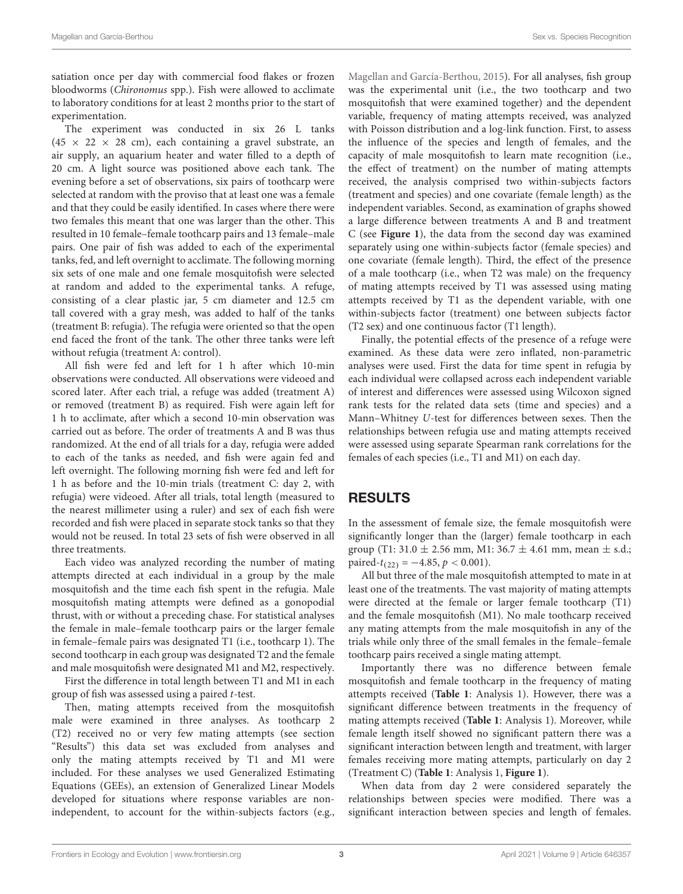satiation once per day with commercial food flakes or frozen bloodworms (Chironomus spp.). Fish were allowed to acclimate to laboratory conditions for at least 2 months prior to the start of experimentation.

The experiment was conducted in six 26 L tanks  $(45 \times 22 \times 28$  cm), each containing a gravel substrate, an air supply, an aquarium heater and water filled to a depth of 20 cm. A light source was positioned above each tank. The evening before a set of observations, six pairs of toothcarp were selected at random with the proviso that at least one was a female and that they could be easily identified. In cases where there were two females this meant that one was larger than the other. This resulted in 10 female–female toothcarp pairs and 13 female–male pairs. One pair of fish was added to each of the experimental tanks, fed, and left overnight to acclimate. The following morning six sets of one male and one female mosquitofish were selected at random and added to the experimental tanks. A refuge, consisting of a clear plastic jar, 5 cm diameter and 12.5 cm tall covered with a gray mesh, was added to half of the tanks (treatment B: refugia). The refugia were oriented so that the open end faced the front of the tank. The other three tanks were left without refugia (treatment A: control).

All fish were fed and left for 1 h after which 10-min observations were conducted. All observations were videoed and scored later. After each trial, a refuge was added (treatment A) or removed (treatment B) as required. Fish were again left for 1 h to acclimate, after which a second 10-min observation was carried out as before. The order of treatments A and B was thus randomized. At the end of all trials for a day, refugia were added to each of the tanks as needed, and fish were again fed and left overnight. The following morning fish were fed and left for 1 h as before and the 10-min trials (treatment C: day 2, with refugia) were videoed. After all trials, total length (measured to the nearest millimeter using a ruler) and sex of each fish were recorded and fish were placed in separate stock tanks so that they would not be reused. In total 23 sets of fish were observed in all three treatments.

Each video was analyzed recording the number of mating attempts directed at each individual in a group by the male mosquitofish and the time each fish spent in the refugia. Male mosquitofish mating attempts were defined as a gonopodial thrust, with or without a preceding chase. For statistical analyses the female in male–female toothcarp pairs or the larger female in female–female pairs was designated T1 (i.e., toothcarp 1). The second toothcarp in each group was designated T2 and the female and male mosquitofish were designated M1 and M2, respectively.

First the difference in total length between T1 and M1 in each group of fish was assessed using a paired t-test.

Then, mating attempts received from the mosquitofish male were examined in three analyses. As toothcarp 2 (T2) received no or very few mating attempts (see section "Results") this data set was excluded from analyses and only the mating attempts received by T1 and M1 were included. For these analyses we used Generalized Estimating Equations (GEEs), an extension of Generalized Linear Models developed for situations where response variables are nonindependent, to account for the within-subjects factors (e.g.,

[Magellan and García-Berthou,](#page-7-21) [2015\)](#page-7-21). For all analyses, fish group was the experimental unit (i.e., the two toothcarp and two mosquitofish that were examined together) and the dependent variable, frequency of mating attempts received, was analyzed with Poisson distribution and a log-link function. First, to assess the influence of the species and length of females, and the capacity of male mosquitofish to learn mate recognition (i.e., the effect of treatment) on the number of mating attempts received, the analysis comprised two within-subjects factors (treatment and species) and one covariate (female length) as the independent variables. Second, as examination of graphs showed a large difference between treatments A and B and treatment C (see **[Figure 1](#page-3-0)**), the data from the second day was examined separately using one within-subjects factor (female species) and one covariate (female length). Third, the effect of the presence of a male toothcarp (i.e., when T2 was male) on the frequency of mating attempts received by T1 was assessed using mating attempts received by T1 as the dependent variable, with one within-subjects factor (treatment) one between subjects factor (T2 sex) and one continuous factor (T1 length).

Finally, the potential effects of the presence of a refuge were examined. As these data were zero inflated, non-parametric analyses were used. First the data for time spent in refugia by each individual were collapsed across each independent variable of interest and differences were assessed using Wilcoxon signed rank tests for the related data sets (time and species) and a Mann–Whitney U-test for differences between sexes. Then the relationships between refugia use and mating attempts received were assessed using separate Spearman rank correlations for the females of each species (i.e., T1 and M1) on each day.

## RESULTS

In the assessment of female size, the female mosquitofish were significantly longer than the (larger) female toothcarp in each group (T1: 31.0  $\pm$  2.56 mm, M1: 36.7  $\pm$  4.61 mm, mean  $\pm$  s.d.; paired- $t_{(22)} = -4.85$ ,  $p < 0.001$ ).

All but three of the male mosquitofish attempted to mate in at least one of the treatments. The vast majority of mating attempts were directed at the female or larger female toothcarp (T1) and the female mosquitofish (M1). No male toothcarp received any mating attempts from the male mosquitofish in any of the trials while only three of the small females in the female–female toothcarp pairs received a single mating attempt.

Importantly there was no difference between female mosquitofish and female toothcarp in the frequency of mating attempts received (**[Table 1](#page-4-0)**: Analysis 1). However, there was a significant difference between treatments in the frequency of mating attempts received (**[Table 1](#page-4-0)**: Analysis 1). Moreover, while female length itself showed no significant pattern there was a significant interaction between length and treatment, with larger females receiving more mating attempts, particularly on day 2 (Treatment C) (**[Table 1](#page-4-0)**: Analysis 1, **[Figure 1](#page-3-0)**).

When data from day 2 were considered separately the relationships between species were modified. There was a significant interaction between species and length of females.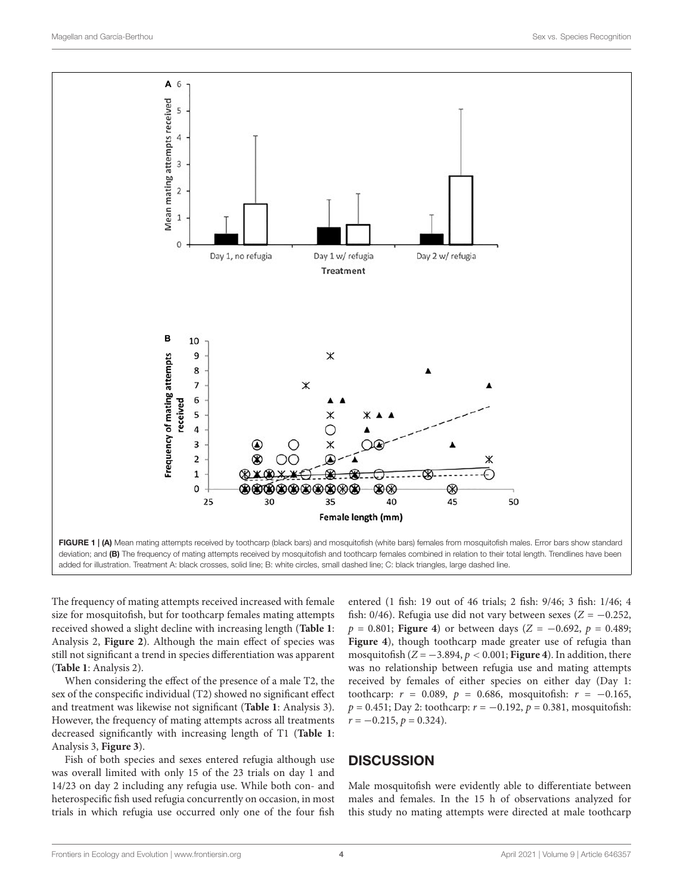

<span id="page-3-0"></span>The frequency of mating attempts received increased with female size for mosquitofish, but for toothcarp females mating attempts received showed a slight decline with increasing length (**[Table 1](#page-4-0)**: Analysis 2, **[Figure 2](#page-4-1)**). Although the main effect of species was still not significant a trend in species differentiation was apparent (**[Table 1](#page-4-0)**: Analysis 2).

When considering the effect of the presence of a male T2, the sex of the conspecific individual (T2) showed no significant effect and treatment was likewise not significant (**[Table 1](#page-4-0)**: Analysis 3). However, the frequency of mating attempts across all treatments decreased significantly with increasing length of T1 (**[Table 1](#page-4-0)**: Analysis 3, **[Figure 3](#page-4-2)**).

Fish of both species and sexes entered refugia although use was overall limited with only 15 of the 23 trials on day 1 and 14/23 on day 2 including any refugia use. While both con- and heterospecific fish used refugia concurrently on occasion, in most trials in which refugia use occurred only one of the four fish

entered (1 fish: 19 out of 46 trials; 2 fish: 9/46; 3 fish: 1/46; 4 fish: 0/46). Refugia use did not vary between sexes ( $Z = -0.252$ ,  $p = 0.801$ ; **[Figure 4](#page-4-3)**) or between days ( $Z = -0.692$ ,  $p = 0.489$ ; **[Figure 4](#page-4-3)**), though toothcarp made greater use of refugia than mosquitofish  $(Z = -3.894, p < 0.001$ ; **[Figure 4](#page-4-3)**). In addition, there was no relationship between refugia use and mating attempts received by females of either species on either day (Day 1: toothcarp:  $r = 0.089$ ,  $p = 0.686$ , mosquitofish:  $r = -0.165$ ,  $p = 0.451$ ; Day 2: toothcarp:  $r = -0.192$ ,  $p = 0.381$ , mosquitofish:  $r = -0.215$ ,  $p = 0.324$ ).

# **DISCUSSION**

Male mosquitofish were evidently able to differentiate between males and females. In the 15 h of observations analyzed for this study no mating attempts were directed at male toothcarp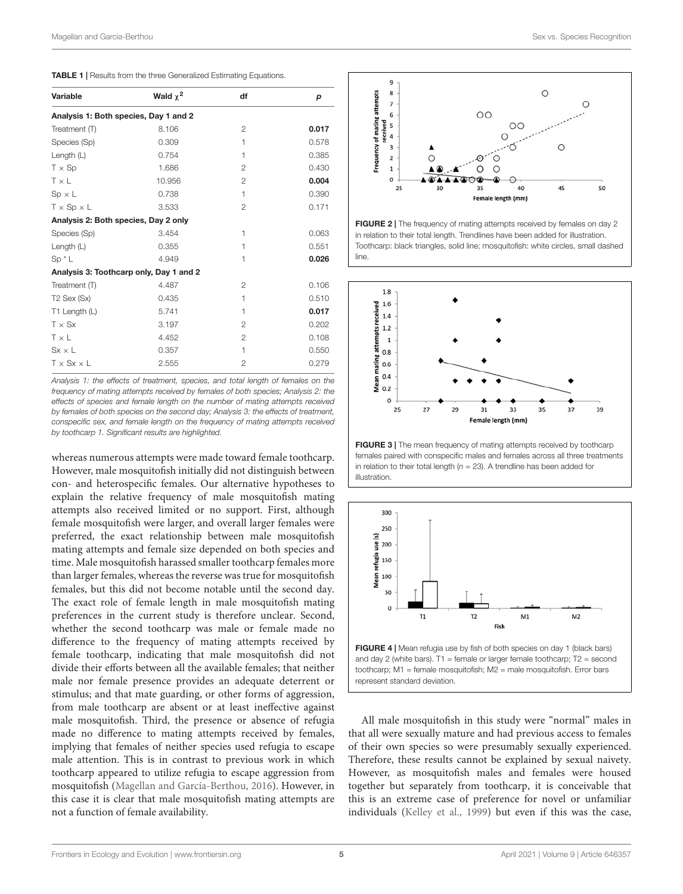<span id="page-4-0"></span>

| <b>TABLE 1</b>   Results from the three Generalized Estimating Equations. |
|---------------------------------------------------------------------------|
|---------------------------------------------------------------------------|

| Variable                              | Wald $\chi^2$                           | df             | р     |
|---------------------------------------|-----------------------------------------|----------------|-------|
| Analysis 1: Both species, Day 1 and 2 |                                         |                |       |
| Treatment (T)                         | 8.106                                   | $\mathcal{P}$  | 0.017 |
| Species (Sp)                          | 0.309                                   | 1              | 0.578 |
| Length $(L)$                          | 0.754                                   | 1              | 0.385 |
| $T \times Sp$                         | 1.686                                   | 2              | 0.430 |
| $T \times L$                          | 10.956                                  | $\overline{2}$ | 0.004 |
| $Sp \times L$                         | 0.738                                   | 1              | 0.390 |
| $T \times Sp \times L$                | 3.533                                   | $\mathfrak{p}$ | 0.171 |
| Analysis 2: Both species, Day 2 only  |                                         |                |       |
| Species (Sp)                          | 3.454                                   | 1              | 0.063 |
| Length $(L)$                          | 0.355                                   | 1              | 0.551 |
| $Sp^{\star}L$                         | 4.949                                   | 1              | 0.026 |
|                                       | Analysis 3: Toothcarp only, Day 1 and 2 |                |       |
| Treatment (T)                         | 4.487                                   | 2              | 0.106 |
| T <sub>2</sub> Sex (Sx)               | 0.435                                   | 1              | 0.510 |
| T1 Length (L)                         | 5.741                                   | 1              | 0.017 |
| $T \times S$ x                        | 3.197                                   | $\overline{2}$ | 0.202 |
| $T \times L$                          | 4.452                                   | 2              | 0.108 |
| $Sx \times L$                         | 0.357                                   | 1              | 0.550 |
| $T \times S$ $x \times L$             | 2.555                                   | 2              | 0.279 |

Analysis 1: the effects of treatment, species, and total length of females on the frequency of mating attempts received by females of both species; Analysis 2: the effects of species and female length on the number of mating attempts received by females of both species on the second day; Analysis 3: the effects of treatment, conspecific sex, and female length on the frequency of mating attempts received by toothcarp 1. Significant results are highlighted.

whereas numerous attempts were made toward female toothcarp. However, male mosquitofish initially did not distinguish between con- and heterospecific females. Our alternative hypotheses to explain the relative frequency of male mosquitofish mating attempts also received limited or no support. First, although female mosquitofish were larger, and overall larger females were preferred, the exact relationship between male mosquitofish mating attempts and female size depended on both species and time. Male mosquitofish harassed smaller toothcarp females more than larger females, whereas the reverse was true for mosquitofish females, but this did not become notable until the second day. The exact role of female length in male mosquitofish mating preferences in the current study is therefore unclear. Second, whether the second toothcarp was male or female made no difference to the frequency of mating attempts received by female toothcarp, indicating that male mosquitofish did not divide their efforts between all the available females; that neither male nor female presence provides an adequate deterrent or stimulus; and that mate guarding, or other forms of aggression, from male toothcarp are absent or at least ineffective against male mosquitofish. Third, the presence or absence of refugia made no difference to mating attempts received by females, implying that females of neither species used refugia to escape male attention. This is in contrast to previous work in which toothcarp appeared to utilize refugia to escape aggression from mosquitofish [\(Magellan and García-Berthou,](#page-7-20) [2016\)](#page-7-20). However, in this case it is clear that male mosquitofish mating attempts are not a function of female availability.



<span id="page-4-1"></span>FIGURE 2 | The frequency of mating attempts received by females on day 2 in relation to their total length. Trendlines have been added for illustration. Toothcarp: black triangles, solid line; mosquitofish: white circles, small dashed line.



<span id="page-4-2"></span>FIGURE 3 | The mean frequency of mating attempts received by toothcarp females paired with conspecific males and females across all three treatments in relation to their total length ( $n = 23$ ). A trendline has been added for illustration.



<span id="page-4-3"></span>toothcarp; M1 = female mosquitofish; M2 = male mosquitofish. Error bars represent standard deviation.

All male mosquitofish in this study were "normal" males in that all were sexually mature and had previous access to females of their own species so were presumably sexually experienced. Therefore, these results cannot be explained by sexual naivety. However, as mosquitofish males and females were housed together but separately from toothcarp, it is conceivable that this is an extreme case of preference for novel or unfamiliar individuals [\(Kelley et al.,](#page-7-22) [1999\)](#page-7-22) but even if this was the case,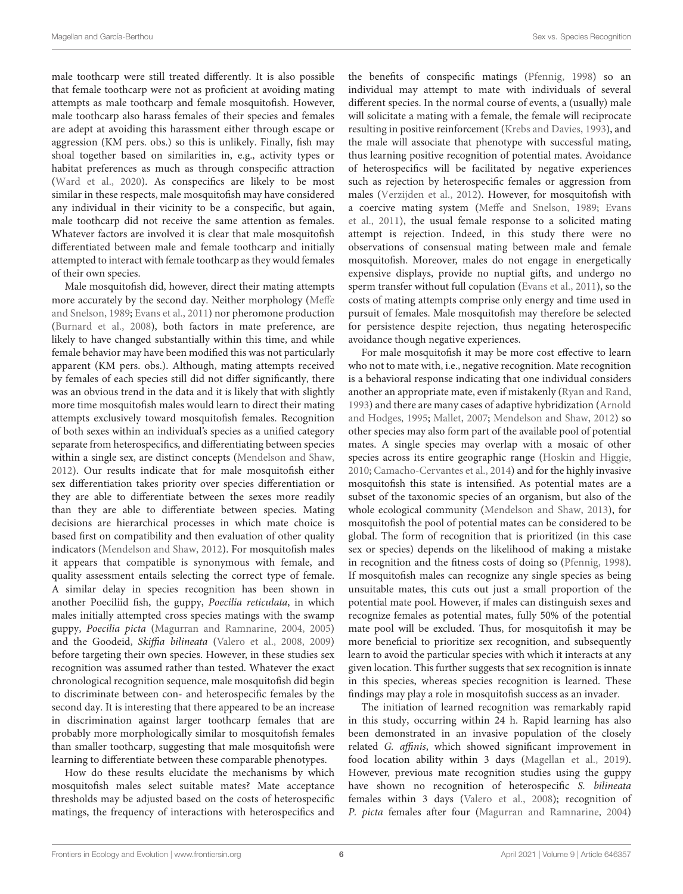male toothcarp were still treated differently. It is also possible that female toothcarp were not as proficient at avoiding mating attempts as male toothcarp and female mosquitofish. However, male toothcarp also harass females of their species and females are adept at avoiding this harassment either through escape or aggression (KM pers. obs.) so this is unlikely. Finally, fish may shoal together based on similarities in, e.g., activity types or habitat preferences as much as through conspecific attraction [\(Ward et al.,](#page-7-23) [2020\)](#page-7-23). As conspecifics are likely to be most similar in these respects, male mosquitofish may have considered any individual in their vicinity to be a conspecific, but again, male toothcarp did not receive the same attention as females. Whatever factors are involved it is clear that male mosquitofish differentiated between male and female toothcarp and initially attempted to interact with female toothcarp as they would females of their own species.

Male mosquitofish did, however, direct their mating attempts more accurately by the second day. Neither morphology [\(Meffe](#page-7-19) [and Snelson,](#page-7-19) [1989;](#page-7-19) [Evans et al.,](#page-6-8) [2011\)](#page-6-8) nor pheromone production [\(Burnard et al.,](#page-6-10) [2008\)](#page-6-10), both factors in mate preference, are likely to have changed substantially within this time, and while female behavior may have been modified this was not particularly apparent (KM pers. obs.). Although, mating attempts received by females of each species still did not differ significantly, there was an obvious trend in the data and it is likely that with slightly more time mosquitofish males would learn to direct their mating attempts exclusively toward mosquitofish females. Recognition of both sexes within an individual's species as a unified category separate from heterospecifics, and differentiating between species within a single sex, are distinct concepts [\(Mendelson and Shaw,](#page-7-2) [2012\)](#page-7-2). Our results indicate that for male mosquitofish either sex differentiation takes priority over species differentiation or they are able to differentiate between the sexes more readily than they are able to differentiate between species. Mating decisions are hierarchical processes in which mate choice is based first on compatibility and then evaluation of other quality indicators [\(Mendelson and Shaw,](#page-7-2) [2012\)](#page-7-2). For mosquitofish males it appears that compatible is synonymous with female, and quality assessment entails selecting the correct type of female. A similar delay in species recognition has been shown in another Poeciliid fish, the guppy, Poecilia reticulata, in which males initially attempted cross species matings with the swamp guppy, Poecilia picta [\(Magurran and Ramnarine,](#page-7-24) [2004,](#page-7-24) [2005\)](#page-7-25) and the Goodeid, Skiffia bilineata [\(Valero et al.,](#page-7-26) [2008,](#page-7-26) [2009\)](#page-7-27) before targeting their own species. However, in these studies sex recognition was assumed rather than tested. Whatever the exact chronological recognition sequence, male mosquitofish did begin to discriminate between con- and heterospecific females by the second day. It is interesting that there appeared to be an increase in discrimination against larger toothcarp females that are probably more morphologically similar to mosquitofish females than smaller toothcarp, suggesting that male mosquitofish were learning to differentiate between these comparable phenotypes.

How do these results elucidate the mechanisms by which mosquitofish males select suitable mates? Mate acceptance thresholds may be adjusted based on the costs of heterospecific matings, the frequency of interactions with heterospecifics and

the benefits of conspecific matings [\(Pfennig,](#page-7-1) [1998\)](#page-7-1) so an individual may attempt to mate with individuals of several different species. In the normal course of events, a (usually) male will solicitate a mating with a female, the female will reciprocate resulting in positive reinforcement [\(Krebs and Davies,](#page-7-28) [1993\)](#page-7-28), and the male will associate that phenotype with successful mating, thus learning positive recognition of potential mates. Avoidance of heterospecifics will be facilitated by negative experiences such as rejection by heterospecific females or aggression from males [\(Verzijden et al.,](#page-7-5) [2012\)](#page-7-5). However, for mosquitofish with a coercive mating system [\(Meffe and Snelson,](#page-7-19) [1989;](#page-7-19) [Evans](#page-6-8) [et al.,](#page-6-8) [2011\)](#page-6-8), the usual female response to a solicited mating attempt is rejection. Indeed, in this study there were no observations of consensual mating between male and female mosquitofish. Moreover, males do not engage in energetically expensive displays, provide no nuptial gifts, and undergo no sperm transfer without full copulation [\(Evans et al.,](#page-6-8) [2011\)](#page-6-8), so the costs of mating attempts comprise only energy and time used in pursuit of females. Male mosquitofish may therefore be selected for persistence despite rejection, thus negating heterospecific avoidance though negative experiences.

For male mosquitofish it may be more cost effective to learn who not to mate with, i.e., negative recognition. Mate recognition is a behavioral response indicating that one individual considers another an appropriate mate, even if mistakenly [\(Ryan and Rand,](#page-7-0) [1993\)](#page-7-0) and there are many cases of adaptive hybridization [\(Arnold](#page-6-11) [and Hodges,](#page-6-11) [1995;](#page-6-11) [Mallet,](#page-7-29) [2007;](#page-7-29) [Mendelson and Shaw,](#page-7-2) [2012\)](#page-7-2) so other species may also form part of the available pool of potential mates. A single species may overlap with a mosaic of other species across its entire geographic range [\(Hoskin and Higgie,](#page-7-30) [2010;](#page-7-30) [Camacho-Cervantes et al.,](#page-6-12) [2014\)](#page-6-12) and for the highly invasive mosquitofish this state is intensified. As potential mates are a subset of the taxonomic species of an organism, but also of the whole ecological community [\(Mendelson and Shaw,](#page-7-31) [2013\)](#page-7-31), for mosquitofish the pool of potential mates can be considered to be global. The form of recognition that is prioritized (in this case sex or species) depends on the likelihood of making a mistake in recognition and the fitness costs of doing so [\(Pfennig,](#page-7-1) [1998\)](#page-7-1). If mosquitofish males can recognize any single species as being unsuitable mates, this cuts out just a small proportion of the potential mate pool. However, if males can distinguish sexes and recognize females as potential mates, fully 50% of the potential mate pool will be excluded. Thus, for mosquitofish it may be more beneficial to prioritize sex recognition, and subsequently learn to avoid the particular species with which it interacts at any given location. This further suggests that sex recognition is innate in this species, whereas species recognition is learned. These findings may play a role in mosquitofish success as an invader.

The initiation of learned recognition was remarkably rapid in this study, occurring within 24 h. Rapid learning has also been demonstrated in an invasive population of the closely related G. affinis, which showed significant improvement in food location ability within 3 days [\(Magellan et al.,](#page-7-13) [2019\)](#page-7-13). However, previous mate recognition studies using the guppy have shown no recognition of heterospecific S. bilineata females within 3 days [\(Valero et al.,](#page-7-26) [2008\)](#page-7-26); recognition of P. picta females after four [\(Magurran and Ramnarine,](#page-7-24) [2004\)](#page-7-24)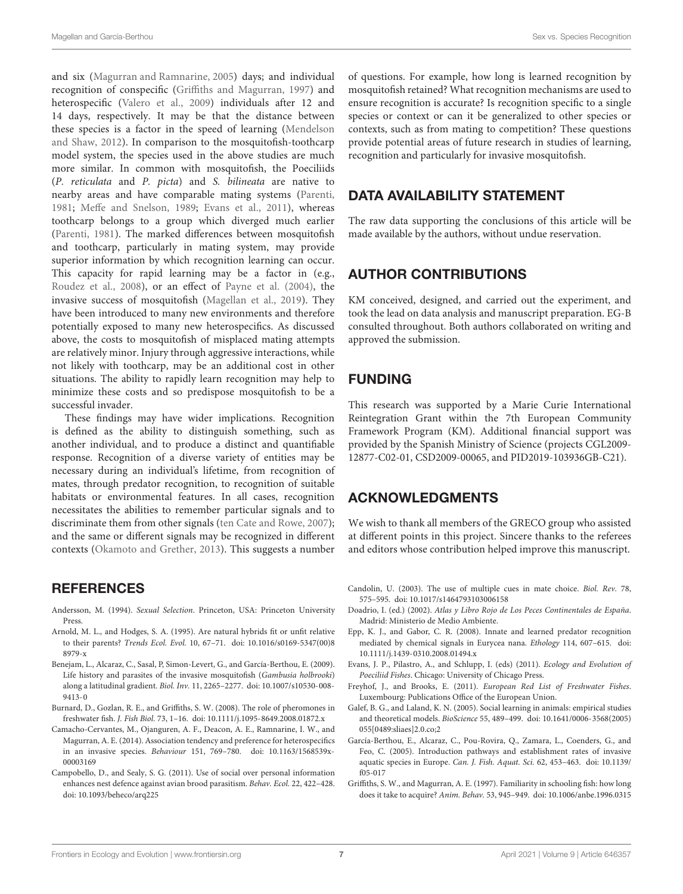and six [\(Magurran and Ramnarine,](#page-7-25) [2005\)](#page-7-25) days; and individual recognition of conspecific [\(Griffiths and Magurran,](#page-6-13) [1997\)](#page-6-13) and heterospecific [\(Valero et al.,](#page-7-27) [2009\)](#page-7-27) individuals after 12 and 14 days, respectively. It may be that the distance between these species is a factor in the speed of learning [\(Mendelson](#page-7-2) [and Shaw,](#page-7-2) [2012\)](#page-7-2). In comparison to the mosquitofish-toothcarp model system, the species used in the above studies are much more similar. In common with mosquitofish, the Poeciliids (P. reticulata and P. picta) and S. bilineata are native to nearby areas and have comparable mating systems [\(Parenti,](#page-7-9) [1981;](#page-7-9) [Meffe and Snelson,](#page-7-19) [1989;](#page-7-19) [Evans et al.,](#page-6-8) [2011\)](#page-6-8), whereas toothcarp belongs to a group which diverged much earlier [\(Parenti,](#page-7-9) [1981\)](#page-7-9). The marked differences between mosquitofish and toothcarp, particularly in mating system, may provide superior information by which recognition learning can occur. This capacity for rapid learning may be a factor in (e.g., [Roudez et al.,](#page-7-32) [2008\)](#page-7-32), or an effect of [Payne et al.](#page-7-17) [\(2004\)](#page-7-17), the invasive success of mosquitofish [\(Magellan et al.,](#page-7-13) [2019\)](#page-7-13). They have been introduced to many new environments and therefore potentially exposed to many new heterospecifics. As discussed above, the costs to mosquitofish of misplaced mating attempts are relatively minor. Injury through aggressive interactions, while not likely with toothcarp, may be an additional cost in other situations. The ability to rapidly learn recognition may help to minimize these costs and so predispose mosquitofish to be a successful invader.

These findings may have wider implications. Recognition is defined as the ability to distinguish something, such as another individual, and to produce a distinct and quantifiable response. Recognition of a diverse variety of entities may be necessary during an individual's lifetime, from recognition of mates, through predator recognition, to recognition of suitable habitats or environmental features. In all cases, recognition necessitates the abilities to remember particular signals and to discriminate them from other signals [\(ten Cate and Rowe,](#page-7-4) [2007\)](#page-7-4); and the same or different signals may be recognized in different contexts [\(Okamoto and Grether,](#page-7-33) [2013\)](#page-7-33). This suggests a number

# **REFERENCES**

- <span id="page-6-9"></span>Andersson, M. (1994). Sexual Selection. Princeton, USA: Princeton University Press.
- <span id="page-6-11"></span>Arnold, M. L., and Hodges, S. A. (1995). Are natural hybrids fit or unfit relative to their parents? Trends Ecol. Evol. 10, 67–71. [doi: 10.1016/s0169-5347\(00\)8](https://doi.org/10.1016/s0169-5347(00)88979-x) [8979-x](https://doi.org/10.1016/s0169-5347(00)88979-x)
- <span id="page-6-5"></span>Benejam, L., Alcaraz, C., Sasal, P, Simon-Levert, G., and García-Berthou, E. (2009). Life history and parasites of the invasive mosquitofish (Gambusia holbrooki) along a latitudinal gradient. Biol. Inv. 11, 2265–2277. [doi: 10.1007/s10530-008-](https://doi.org/10.1007/s10530-008-9413-0) [9413-0](https://doi.org/10.1007/s10530-008-9413-0)
- <span id="page-6-10"></span>Burnard, D., Gozlan, R. E., and Griffiths, S. W. (2008). The role of pheromones in freshwater fish. J. Fish Biol. 73, 1–16. [doi: 10.1111/j.1095-8649.2008.01872.x](https://doi.org/10.1111/j.1095-8649.2008.01872.x)
- <span id="page-6-12"></span>Camacho-Cervantes, M., Ojanguren, A. F., Deacon, A. E., Ramnarine, I. W., and Magurran, A. E. (2014). Association tendency and preference for heterospecifics in an invasive species. Behaviour 151, 769–780. [doi: 10.1163/1568539x-](https://doi.org/10.1163/1568539x-00003169)[00003169](https://doi.org/10.1163/1568539x-00003169)
- <span id="page-6-2"></span>Campobello, D., and Sealy, S. G. (2011). Use of social over personal information enhances nest defence against avian brood parasitism. Behav. Ecol. 22, 422–428. [doi: 10.1093/beheco/arq225](https://doi.org/10.1093/beheco/arq225)

of questions. For example, how long is learned recognition by mosquitofish retained? What recognition mechanisms are used to ensure recognition is accurate? Is recognition specific to a single species or context or can it be generalized to other species or contexts, such as from mating to competition? These questions provide potential areas of future research in studies of learning, recognition and particularly for invasive mosquitofish.

## DATA AVAILABILITY STATEMENT

The raw data supporting the conclusions of this article will be made available by the authors, without undue reservation.

# AUTHOR CONTRIBUTIONS

KM conceived, designed, and carried out the experiment, and took the lead on data analysis and manuscript preparation. EG-B consulted throughout. Both authors collaborated on writing and approved the submission.

# FUNDING

This research was supported by a Marie Curie International Reintegration Grant within the 7th European Community Framework Program (KM). Additional financial support was provided by the Spanish Ministry of Science (projects CGL2009- 12877-C02-01, CSD2009-00065, and PID2019-103936GB-C21).

# ACKNOWLEDGMENTS

We wish to thank all members of the GRECO group who assisted at different points in this project. Sincere thanks to the referees and editors whose contribution helped improve this manuscript.

- <span id="page-6-0"></span>Candolin, U. (2003). The use of multiple cues in mate choice. Biol. Rev. 78, 575–595. [doi: 10.1017/s1464793103006158](https://doi.org/10.1017/s1464793103006158)
- <span id="page-6-7"></span>Doadrio, I. (ed.) (2002). Atlas y Libro Rojo de Los Peces Continentales de España. Madrid: Ministerio de Medio Ambiente.
- <span id="page-6-3"></span>Epp, K. J., and Gabor, C. R. (2008). Innate and learned predator recognition mediated by chemical signals in Eurycea nana. Ethology 114, 607–615. [doi:](https://doi.org/10.1111/j.1439-0310.2008.01494.x) [10.1111/j.1439-0310.2008.01494.x](https://doi.org/10.1111/j.1439-0310.2008.01494.x)
- <span id="page-6-8"></span>Evans, J. P., Pilastro, A., and Schlupp, I. (eds) (2011). Ecology and Evolution of Poeciliid Fishes. Chicago: University of Chicago Press.
- <span id="page-6-6"></span>Freyhof, J., and Brooks, E. (2011). European Red List of Freshwater Fishes. Luxembourg: Publications Office of the European Union.
- <span id="page-6-1"></span>Galef, B. G., and Laland, K. N. (2005). Social learning in animals: empirical studies and theoretical models. BioScience 55, 489–499. [doi: 10.1641/0006-3568\(2005\)](https://doi.org/10.1641/0006-3568(2005)055[0489:sliaes]2.0.co;2) [055\[0489:sliaes\]2.0.co;2](https://doi.org/10.1641/0006-3568(2005)055[0489:sliaes]2.0.co;2)
- <span id="page-6-4"></span>García-Berthou, E., Alcaraz, C., Pou-Rovira, Q., Zamara, L., Coenders, G., and Feo, C. (2005). Introduction pathways and establishment rates of invasive aquatic species in Europe. Can. J. Fish. Aquat. Sci. 62, 453–463. [doi: 10.1139/](https://doi.org/10.1139/f05-017) [f05-017](https://doi.org/10.1139/f05-017)
- <span id="page-6-13"></span>Griffiths, S. W., and Magurran, A. E. (1997). Familiarity in schooling fish: how long does it take to acquire? Anim. Behav. 53, 945–949. [doi: 10.1006/anbe.1996.0315](https://doi.org/10.1006/anbe.1996.0315)